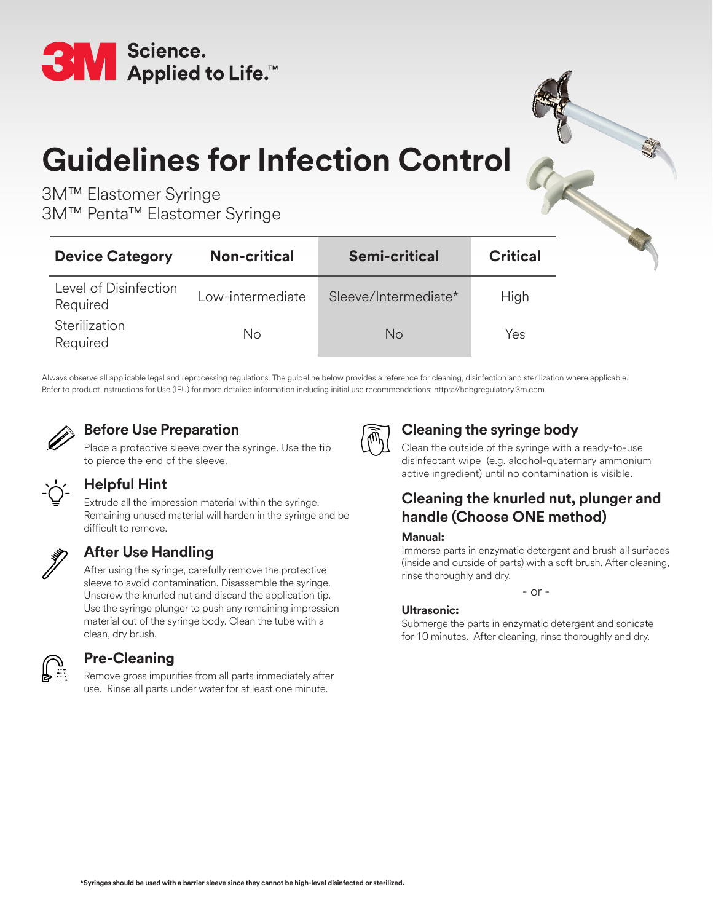

# **Guidelines for Infection Control**

3M™ Elastomer Syringe 3M™ Penta™ Elastomer Syringe

| <b>Device Category</b>            | <b>Non-critical</b> | <b>Semi-critical</b> | <b>Critical</b> |
|-----------------------------------|---------------------|----------------------|-----------------|
| Level of Disinfection<br>Required | Low-intermediate    | Sleeve/Intermediate* | High            |
| Sterilization<br>Required         | No                  | <b>No</b>            | Yes             |

Always observe all applicable legal and reprocessing regulations. The guideline below provides a reference for cleaning, disinfection and sterilization where applicable. Refer to product Instructions for Use (IFU) for more detailed information including initial use recommendations: https://hcbgregulatory.3m.com



# **Before Use Preparation**

Place a protective sleeve over the syringe. Use the tip to pierce the end of the sleeve.



# **Helpful Hint**

Extrude all the impression material within the syringe. Remaining unused material will harden in the syringe and be difficult to remove.



# **After Use Handling**

After using the syringe, carefully remove the protective sleeve to avoid contamination. Disassemble the syringe. Unscrew the knurled nut and discard the application tip. Use the syringe plunger to push any remaining impression material out of the syringe body. Clean the tube with a clean, dry brush.



## **Pre-Cleaning**

Remove gross impurities from all parts immediately after use. Rinse all parts under water for at least one minute.



# **Cleaning the syringe body**

Clean the outside of the syringe with a ready-to-use disinfectant wipe (e.g. alcohol-quaternary ammonium active ingredient) until no contamination is visible.

# **Cleaning the knurled nut, plunger and handle (Choose ONE method)**

### **Manual:**

Immerse parts in enzymatic detergent and brush all surfaces (inside and outside of parts) with a soft brush. After cleaning, rinse thoroughly and dry.

 $-$  or  $-$ 

### **Ultrasonic:**

Submerge the parts in enzymatic detergent and sonicate for 10 minutes. After cleaning, rinse thoroughly and dry.